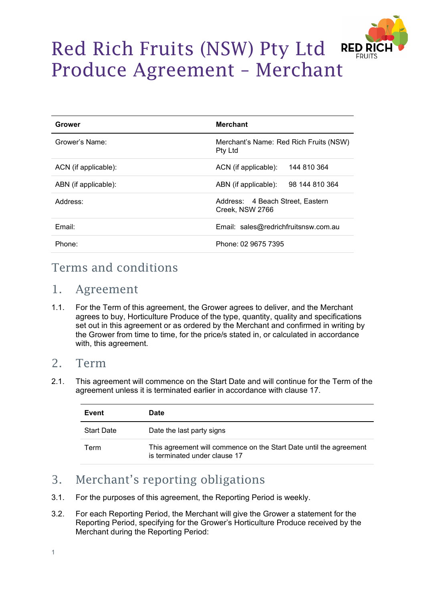

# Red Rich Fruits (NSW) Pty Ltd Produce Agreement – Merchant

| Grower               | <b>Merchant</b>                                          |
|----------------------|----------------------------------------------------------|
| Grower's Name:       | Merchant's Name: Red Rich Fruits (NSW)<br><b>Pty Ltd</b> |
| ACN (if applicable): | 144 810 364<br>ACN (if applicable):                      |
| ABN (if applicable): | 98 144 810 364<br>ABN (if applicable):                   |
| Address:             | Address: 4 Beach Street, Eastern<br>Creek. NSW 2766      |
| Email:               | Email: sales@redrichfruitsnsw.com.au                     |
| Phone:               | Phone: 02 9675 7395                                      |

# Terms and conditions

### 1. Agreement

1.1. For the Term of this agreement, the Grower agrees to deliver, and the Merchant agrees to buy, Horticulture Produce of the type, quantity, quality and specifications set out in this agreement or as ordered by the Merchant and confirmed in writing by the Grower from time to time, for the price/s stated in, or calculated in accordance with, this agreement.

#### 2. Term

2.1. This agreement will commence on the Start Date and will continue for the Term of the agreement unless it is terminated earlier in accordance with clause 17.

| Event             | Date                                                                                                |
|-------------------|-----------------------------------------------------------------------------------------------------|
| <b>Start Date</b> | Date the last party signs                                                                           |
| Term              | This agreement will commence on the Start Date until the agreement<br>is terminated under clause 17 |

# 3. Merchant's reporting obligations

- 3.1. For the purposes of this agreement, the Reporting Period is weekly.
- 3.2. For each Reporting Period, the Merchant will give the Grower a statement for the Reporting Period, specifying for the Grower's Horticulture Produce received by the Merchant during the Reporting Period: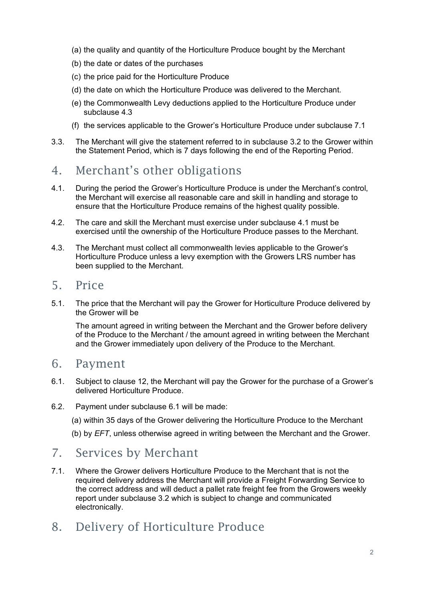- (a) the quality and quantity of the Horticulture Produce bought by the Merchant
- (b) the date or dates of the purchases
- (c) the price paid for the Horticulture Produce
- (d) the date on which the Horticulture Produce was delivered to the Merchant.
- (e) the Commonwealth Levy deductions applied to the Horticulture Produce under subclause 4.3
- (f) the services applicable to the Grower's Horticulture Produce under subclause 7.1
- 3.3. The Merchant will give the statement referred to in subclause 3.2 to the Grower within the Statement Period, which is 7 days following the end of the Reporting Period.

# 4. Merchant's other obligations

- 4.1. During the period the Grower's Horticulture Produce is under the Merchant's control, the Merchant will exercise all reasonable care and skill in handling and storage to ensure that the Horticulture Produce remains of the highest quality possible.
- 4.2. The care and skill the Merchant must exercise under subclause 4.1 must be exercised until the ownership of the Horticulture Produce passes to the Merchant.
- 4.3. The Merchant must collect all commonwealth levies applicable to the Grower's Horticulture Produce unless a levy exemption with the Growers LRS number has been supplied to the Merchant.

#### 5. Price

5.1. The price that the Merchant will pay the Grower for Horticulture Produce delivered by the Grower will be

The amount agreed in writing between the Merchant and the Grower before delivery of the Produce to the Merchant / the amount agreed in writing between the Merchant and the Grower immediately upon delivery of the Produce to the Merchant.

#### 6. Payment

- 6.1. Subject to clause 12, the Merchant will pay the Grower for the purchase of a Grower's delivered Horticulture Produce.
- 6.2. Payment under subclause 6.1 will be made:
	- (a) within 35 days of the Grower delivering the Horticulture Produce to the Merchant
	- (b) by *EFT*, unless otherwise agreed in writing between the Merchant and the Grower.

# 7. Services by Merchant

7.1. Where the Grower delivers Horticulture Produce to the Merchant that is not the required delivery address the Merchant will provide a Freight Forwarding Service to the correct address and will deduct a pallet rate freight fee from the Growers weekly report under subclause 3.2 which is subject to change and communicated electronically.

# 8. Delivery of Horticulture Produce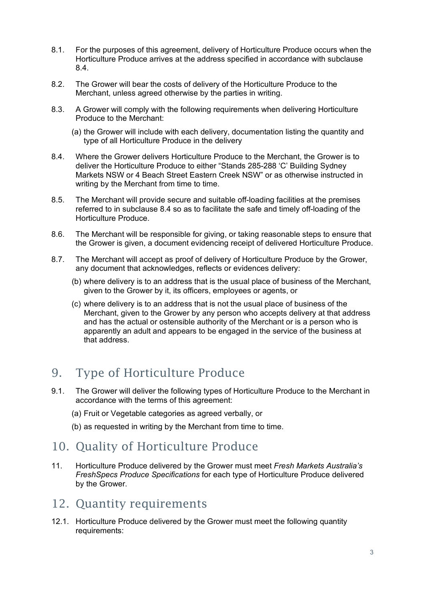- 8.1. For the purposes of this agreement, delivery of Horticulture Produce occurs when the Horticulture Produce arrives at the address specified in accordance with subclause 8.4.
- 8.2. The Grower will bear the costs of delivery of the Horticulture Produce to the Merchant, unless agreed otherwise by the parties in writing.
- 8.3. A Grower will comply with the following requirements when delivering Horticulture Produce to the Merchant:
	- (a) the Grower will include with each delivery, documentation listing the quantity and type of all Horticulture Produce in the delivery
- 8.4. Where the Grower delivers Horticulture Produce to the Merchant, the Grower is to deliver the Horticulture Produce to either "Stands 285-288 'C' Building Sydney Markets NSW or 4 Beach Street Eastern Creek NSW" or as otherwise instructed in writing by the Merchant from time to time.
- 8.5. The Merchant will provide secure and suitable off-loading facilities at the premises referred to in subclause 8.4 so as to facilitate the safe and timely off-loading of the Horticulture Produce.
- 8.6. The Merchant will be responsible for giving, or taking reasonable steps to ensure that the Grower is given, a document evidencing receipt of delivered Horticulture Produce.
- 8.7. The Merchant will accept as proof of delivery of Horticulture Produce by the Grower, any document that acknowledges, reflects or evidences delivery:
	- (b) where delivery is to an address that is the usual place of business of the Merchant, given to the Grower by it, its officers, employees or agents, or
	- (c) where delivery is to an address that is not the usual place of business of the Merchant, given to the Grower by any person who accepts delivery at that address and has the actual or ostensible authority of the Merchant or is a person who is apparently an adult and appears to be engaged in the service of the business at that address.

# 9. Type of Horticulture Produce

- 9.1. The Grower will deliver the following types of Horticulture Produce to the Merchant in accordance with the terms of this agreement:
	- (a) Fruit or Vegetable categories as agreed verbally, or
	- (b) as requested in writing by the Merchant from time to time.

### 10. Quality of Horticulture Produce

11. Horticulture Produce delivered by the Grower must meet *Fresh Markets Australia's FreshSpecs Produce Specifications* for each type of Horticulture Produce delivered by the Grower.

### 12. Quantity requirements

12.1. Horticulture Produce delivered by the Grower must meet the following quantity requirements: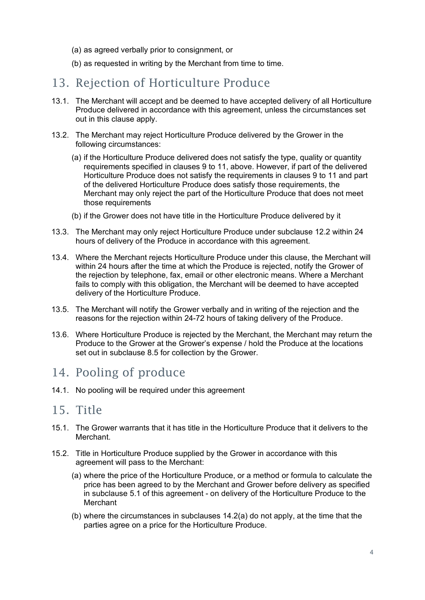- (a) as agreed verbally prior to consignment, or
- (b) as requested in writing by the Merchant from time to time.

### 13. Rejection of Horticulture Produce

- 13.1. The Merchant will accept and be deemed to have accepted delivery of all Horticulture Produce delivered in accordance with this agreement, unless the circumstances set out in this clause apply.
- 13.2. The Merchant may reject Horticulture Produce delivered by the Grower in the following circumstances:
	- (a) if the Horticulture Produce delivered does not satisfy the type, quality or quantity requirements specified in clauses 9 to 11, above. However, if part of the delivered Horticulture Produce does not satisfy the requirements in clauses 9 to 11 and part of the delivered Horticulture Produce does satisfy those requirements, the Merchant may only reject the part of the Horticulture Produce that does not meet those requirements
	- (b) if the Grower does not have title in the Horticulture Produce delivered by it
- 13.3. The Merchant may only reject Horticulture Produce under subclause 12.2 within 24 hours of delivery of the Produce in accordance with this agreement.
- 13.4. Where the Merchant rejects Horticulture Produce under this clause, the Merchant will within 24 hours after the time at which the Produce is rejected, notify the Grower of the rejection by telephone, fax, email or other electronic means. Where a Merchant fails to comply with this obligation, the Merchant will be deemed to have accepted delivery of the Horticulture Produce.
- 13.5. The Merchant will notify the Grower verbally and in writing of the rejection and the reasons for the rejection within 24-72 hours of taking delivery of the Produce.
- 13.6. Where Horticulture Produce is rejected by the Merchant, the Merchant may return the Produce to the Grower at the Grower's expense / hold the Produce at the locations set out in subclause 8.5 for collection by the Grower.

### 14. Pooling of produce

14.1. No pooling will be required under this agreement

#### 15. Title

- 15.1. The Grower warrants that it has title in the Horticulture Produce that it delivers to the **Merchant**
- 15.2. Title in Horticulture Produce supplied by the Grower in accordance with this agreement will pass to the Merchant:
	- (a) where the price of the Horticulture Produce, or a method or formula to calculate the price has been agreed to by the Merchant and Grower before delivery as specified in subclause 5.1 of this agreement - on delivery of the Horticulture Produce to the **Merchant**
	- (b) where the circumstances in subclauses 14.2(a) do not apply, at the time that the parties agree on a price for the Horticulture Produce.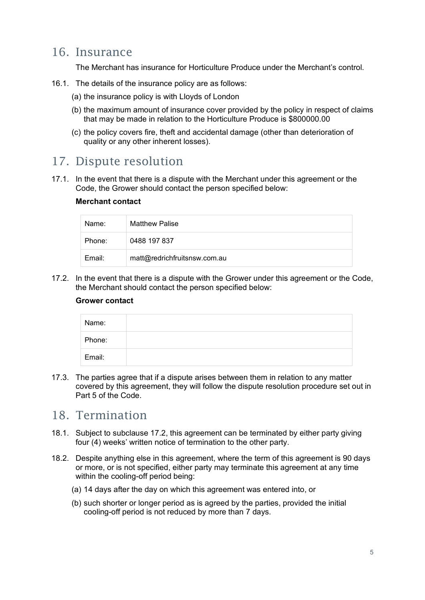### 16. Insurance

The Merchant has insurance for Horticulture Produce under the Merchant's control.

- 16.1. The details of the insurance policy are as follows:
	- (a) the insurance policy is with Lloyds of London
	- (b) the maximum amount of insurance cover provided by the policy in respect of claims that may be made in relation to the Horticulture Produce is \$800000.00
	- (c) the policy covers fire, theft and accidental damage (other than deterioration of quality or any other inherent losses).

#### 17. Dispute resolution

17.1. In the event that there is a dispute with the Merchant under this agreement or the Code, the Grower should contact the person specified below:

#### **Merchant contact**

| Name:  | <b>Matthew Palise</b>        |
|--------|------------------------------|
| Phone: | 0488 197 837                 |
| Email: | matt@redrichfruitsnsw.com.au |

17.2. In the event that there is a dispute with the Grower under this agreement or the Code, the Merchant should contact the person specified below:

#### **Grower contact**

| Name:  |  |
|--------|--|
| Phone: |  |
| Email: |  |

17.3. The parties agree that if a dispute arises between them in relation to any matter covered by this agreement, they will follow the dispute resolution procedure set out in Part 5 of the Code.

#### 18. Termination

- 18.1. Subject to subclause 17.2, this agreement can be terminated by either party giving four (4) weeks' written notice of termination to the other party.
- 18.2. Despite anything else in this agreement, where the term of this agreement is 90 days or more, or is not specified, either party may terminate this agreement at any time within the cooling-off period being:
	- (a) 14 days after the day on which this agreement was entered into, or
	- (b) such shorter or longer period as is agreed by the parties, provided the initial cooling-off period is not reduced by more than 7 days.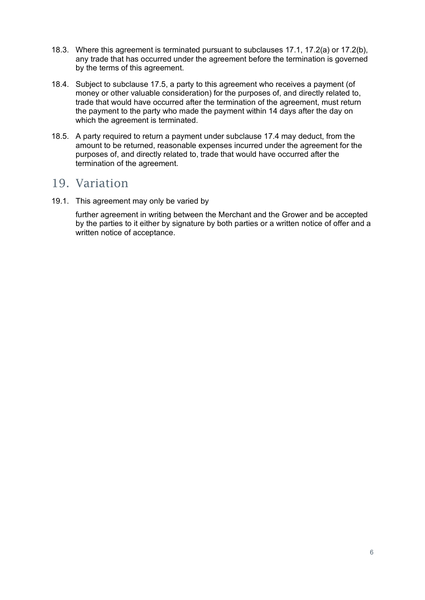- 18.3. Where this agreement is terminated pursuant to subclauses 17.1, 17.2(a) or 17.2(b), any trade that has occurred under the agreement before the termination is governed by the terms of this agreement.
- 18.4. Subject to subclause 17.5, a party to this agreement who receives a payment (of money or other valuable consideration) for the purposes of, and directly related to, trade that would have occurred after the termination of the agreement, must return the payment to the party who made the payment within 14 days after the day on which the agreement is terminated.
- 18.5. A party required to return a payment under subclause 17.4 may deduct, from the amount to be returned, reasonable expenses incurred under the agreement for the purposes of, and directly related to, trade that would have occurred after the termination of the agreement.

### 19. Variation

19.1. This agreement may only be varied by

further agreement in writing between the Merchant and the Grower and be accepted by the parties to it either by signature by both parties or a written notice of offer and a written notice of acceptance.